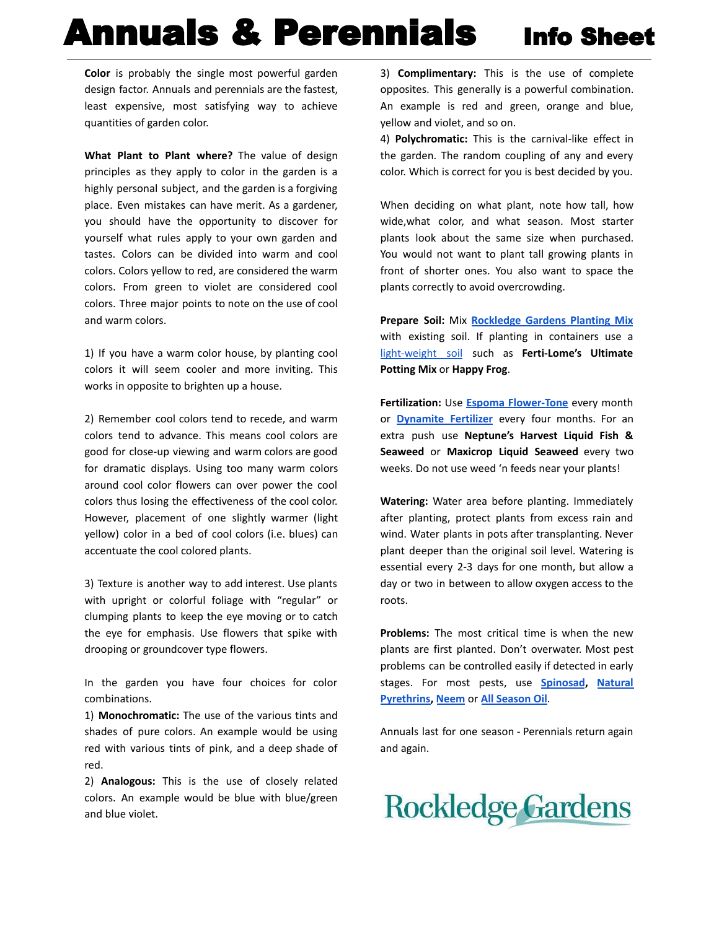## Annuals & Perennials Info Sheet

**Color** is probably the single most powerful garden design factor. Annuals and perennials are the fastest, least expensive, most satisfying way to achieve quantities of garden color.

**What Plant to Plant where?** The value of design principles as they apply to color in the garden is a highly personal subject, and the garden is a forgiving place. Even mistakes can have merit. As a gardener, you should have the opportunity to discover for yourself what rules apply to your own garden and tastes. Colors can be divided into warm and cool colors. Colors yellow to red, are considered the warm colors. From green to violet are considered cool colors. Three major points to note on the use of cool and warm colors.

1) If you have a warm color house, by planting cool colors it will seem cooler and more inviting. This works in opposite to brighten up a house.

2) Remember cool colors tend to recede, and warm colors tend to advance. This means cool colors are good for close-up viewing and warm colors are good for dramatic displays. Using too many warm colors around cool color flowers can over power the cool colors thus losing the effectiveness of the cool color. However, placement of one slightly warmer (light yellow) color in a bed of cool colors (i.e. blues) can accentuate the cool colored plants.

3) Texture is another way to add interest. Use plants with upright or colorful foliage with "regular" or clumping plants to keep the eye moving or to catch the eye for emphasis. Use flowers that spike with drooping or groundcover type flowers.

In the garden you have four choices for color combinations.

1) **Monochromatic:** The use of the various tints and shades of pure colors. An example would be using red with various tints of pink, and a deep shade of red.

2) **Analogous:** This is the use of closely related colors. An example would be blue with blue/green and blue violet.

3) **Complimentary:** This is the use of complete opposites. This generally is a powerful combination. An example is red and green, orange and blue, yellow and violet, and so on.

4) **Polychromatic:** This is the carnival-like effect in the garden. The random coupling of any and every color. Which is correct for you is best decided by you.

When deciding on what plant, note how tall, how wide,what color, and what season. Most starter plants look about the same size when purchased. You would not want to plant tall growing plants in front of shorter ones. You also want to space the plants correctly to avoid overcrowding.

**Prepare Soil:** Mix **[Rockledge Gardens Planting Mix](https://shop.rockledgegardens.com/inventory/search?q=Planting+Mix+&view=grid)** with existing soil. If planting in containers use a [light-weight soil](https://shop.rockledgegardens.com/inventory/search?q=potting&view=grid) such as **Ferti-Lome's Ultimate Potting Mix** or **Happy Frog**.

**Fertilization:** Use **[Espoma Flower-Tone](https://shop.rockledgegardens.com/inventory/search?q=Espoma+Flower-Tone&view=grid)** every month or **[Dynamite Fertilizer](https://shop.rockledgegardens.com/inventory/search?q=Dynamite+&view=grid)** every four months. For an extra push use **Neptune's Harvest Liquid Fish & Seaweed** or **Maxicrop Liquid Seaweed** every two weeks. Do not use weed 'n feeds near your plants!

**Watering:** Water area before planting. Immediately after planting, protect plants from excess rain and wind. Water plants in pots after transplanting. Never plant deeper than the original soil level. Watering is essential every 2-3 days for one month, but allow a day or two in between to allow oxygen access to the roots.

**Problems:** The most critical time is when the new plants are first planted. Don't overwater. Most pest problems can be controlled easily if detected in early stages. For most pests, use **[Spinosad](https://shop.rockledgegardens.com/inventory/search?q=Spinosad&view=grid), [Natural](https://shop.rockledgegardens.com/inventory/search?q=Pyrethrin&view=grid) [Pyrethrins,](https://shop.rockledgegardens.com/inventory/search?q=Pyrethrin&view=grid) [Neem](https://shop.rockledgegardens.com/inventory/search?q=NEEM+&view=grid)** or **[All Season Oil](https://shop.rockledgegardens.com/inventory/search?q=+All+Season+Oil&view=grid)**.

Annuals last for one season - Perennials return again and again.

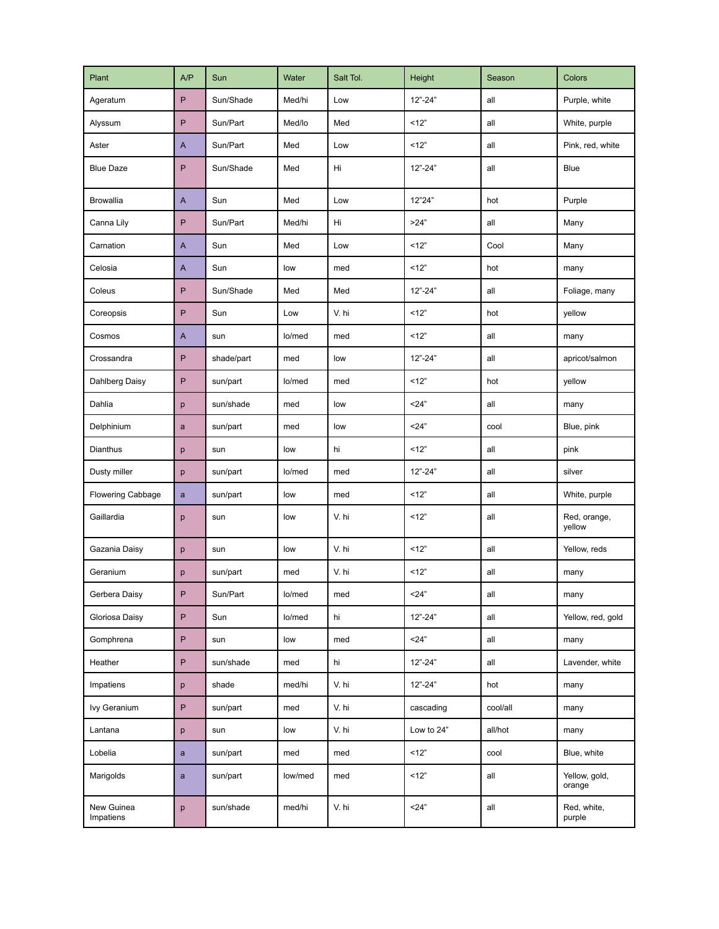| Plant                   | A/P                       | Sun        | Water   | Salt Tol. | Height      | Season   | <b>Colors</b>           |
|-------------------------|---------------------------|------------|---------|-----------|-------------|----------|-------------------------|
| Ageratum                | P                         | Sun/Shade  | Med/hi  | Low       | $12" - 24"$ | all      | Purple, white           |
| Alyssum                 | P                         | Sun/Part   | Med/lo  | Med       | 12"         | all      | White, purple           |
| Aster                   | $\mathsf{A}$              | Sun/Part   | Med     | Low       | 12"         | all      | Pink, red, white        |
| <b>Blue Daze</b>        | P                         | Sun/Shade  | Med     | Hi        | $12" - 24"$ | all      | Blue                    |
| <b>Browallia</b>        | $\mathsf{A}$              | Sun        | Med     | Low       | 12"24"      | hot      | Purple                  |
| Canna Lily              | P                         | Sun/Part   | Med/hi  | Hi        | >24"        | all      | Many                    |
| Carnation               | $\boldsymbol{\mathsf{A}}$ | Sun        | Med     | Low       | 12"         | Cool     | Many                    |
| Celosia                 | $\mathsf{A}$              | Sun        | low     | med       | 12"         | hot      | many                    |
| Coleus                  | P                         | Sun/Shade  | Med     | Med       | $12" - 24"$ | all      | Foliage, many           |
| Coreopsis               | P                         | Sun        | Low     | V. hi     | 12"         | hot      | vellow                  |
| Cosmos                  | $\mathsf{A}$              | sun        | lo/med  | med       | 12"         | all      | many                    |
| Crossandra              | P                         | shade/part | med     | low       | $12" - 24"$ | all      | apricot/salmon          |
| Dahlberg Daisy          | ${\sf P}$                 | sun/part   | lo/med  | med       | 12"         | hot      | vellow                  |
| Dahlia                  | p                         | sun/shade  | med     | low       | 24"         | all      | many                    |
| Delphinium              | $\mathbf{a}$              | sun/part   | med     | low       | 24"         | cool     | Blue, pink              |
| Dianthus                | p                         | sun        | low     | hi        | 12"         | all      | pink                    |
| Dusty miller            | p                         | sun/part   | lo/med  | med       | $12" - 24"$ | all      | silver                  |
| Flowering Cabbage       | $\mathbf{a}$              | sun/part   | low     | med       | 12"         | all      | White, purple           |
| Gaillardia              | p                         | sun        | low     | V. hi     | 12"         | all      | Red, orange,<br>vellow  |
| Gazania Daisy           | p                         | sun        | low     | V. hi     | 12"         | all      | Yellow, reds            |
| Geranium                | р                         | sun/part   | med     | V. hi     | 12"         | all      | many                    |
| Gerbera Daisy           | P.                        | Sun/Part   | lo/med  | med       | <24"        | all      | many                    |
| Gloriosa Daisy          | P                         | Sun        | lo/med  | hi        | $12 - 24$   | all      | Yellow, red, gold       |
| Gomphrena               | P                         | sun        | low     | med       | 24"         | all      | many                    |
| Heather                 | P                         | sun/shade  | med     | hi        | $12" - 24"$ | all      | Lavender, white         |
| Impatiens               | p                         | shade      | med/hi  | V. hi     | $12" - 24"$ | hot      | many                    |
| Ivy Geranium            | P                         | sun/part   | med     | V. hi     | cascading   | cool/all | many                    |
| Lantana                 | p                         | sun        | low     | V. hi     | Low to 24"  | all/hot  | many                    |
| Lobelia                 | $\mathsf{a}$              | sun/part   | med     | med       | 12"         | cool     | Blue, white             |
| Marigolds               | $\mathbf{a}$              | sun/part   | low/med | med       | 12"         | all      | Yellow, gold,<br>orange |
| New Guinea<br>Impatiens | p                         | sun/shade  | med/hi  | V. hi     | 24"         | all      | Red, white,<br>purple   |